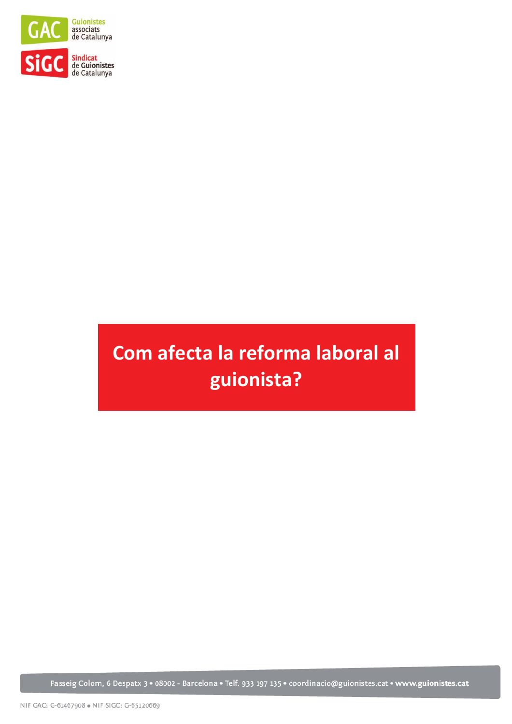

# Com afecta la reforma laboral al guionista?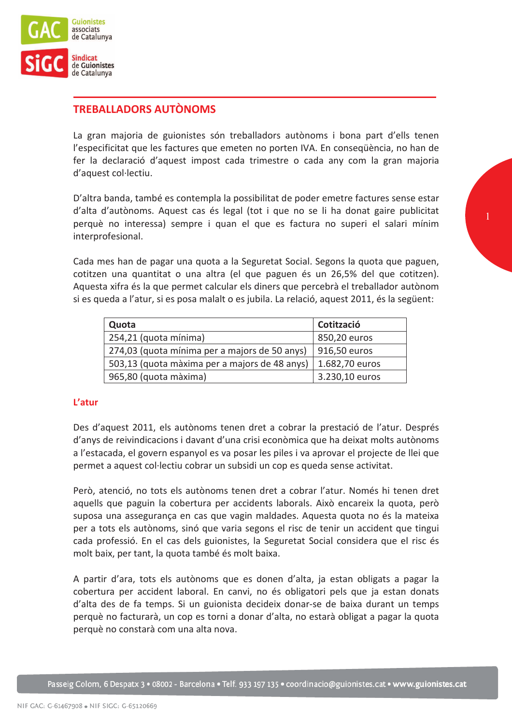

# **TREBALLADORS AUTÒNOMS**

La gran majoria de guionistes són treballadors autònoms i bona part d'ells tenen l'especificitat que les factures que emeten no porten IVA. En consequència, no han de fer la declaració d'aquest impost cada trimestre o cada any com la gran majoria d'aquest col·lectiu.

D'altra banda, també es contempla la possibilitat de poder emetre factures sense estar d'alta d'autònoms. Aquest cas és legal (tot i que no se li ha donat gaire publicitat perquè no interessa) sempre i quan el que es factura no superi el salari mínim interprofesional.

Cada mes han de pagar una quota a la Seguretat Social. Segons la quota que paguen, cotitzen una quantitat o una altra (el que paguen és un 26,5% del que cotitzen). Aquesta xifra és la que permet calcular els diners que percebrà el treballador autònom si es queda a l'atur, si es posa malalt o es jubila. La relació, aquest 2011, és la següent:

| Quota                                         | Cotització     |
|-----------------------------------------------|----------------|
| 254,21 (quota mínima)                         | 850,20 euros   |
| 274,03 (quota mínima per a majors de 50 anys) | 916,50 euros   |
| 503,13 (quota màxima per a majors de 48 anys) | 1.682,70 euros |
| 965,80 (quota màxima)                         | 3.230,10 euros |

# L'atur

Des d'aquest 2011, els autònoms tenen dret a cobrar la prestació de l'atur. Després d'anys de reivindicacions i davant d'una crisi econòmica que ha deixat molts autònoms a l'estacada, el govern espanyol es va posar les piles i va aprovar el projecte de llei que permet a aquest col·lectiu cobrar un subsidi un cop es queda sense activitat.

Però, atenció, no tots els autònoms tenen dret a cobrar l'atur. Només hi tenen dret aquells que paguin la cobertura per accidents laborals. Això encareix la quota, però suposa una assegurança en cas que vagin maldades. Aquesta quota no és la mateixa per a tots els autònoms, sinó que varia segons el risc de tenir un accident que tingui cada professió. En el cas dels guionistes, la Seguretat Social considera que el risc és molt baix, per tant, la quota també és molt baixa.

A partir d'ara, tots els autònoms que es donen d'alta, ja estan obligats a pagar la cobertura per accident laboral. En canvi, no és obligatori pels que ja estan donats d'alta des de fa temps. Si un guionista decideix donar-se de baixa durant un temps perquè no facturarà, un cop es torni a donar d'alta, no estarà obligat a pagar la quota perquè no constarà com una alta nova.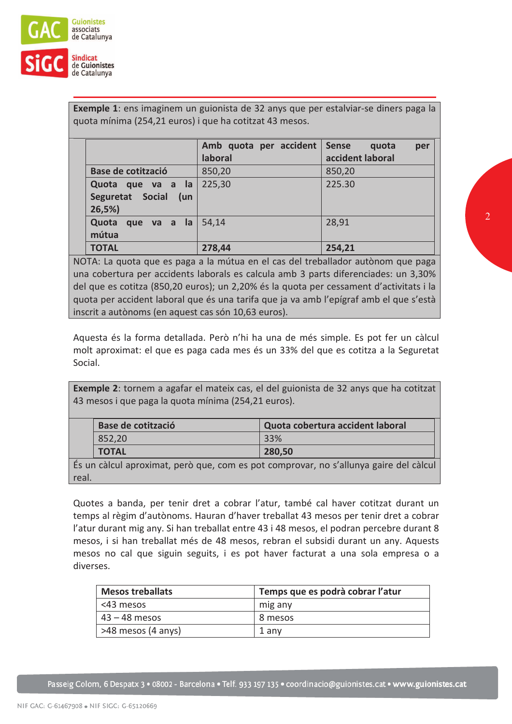

Exemple 1: ens imaginem un guionista de 32 anys que per estalviar-se diners paga la quota mínima (254,21 euros) i que ha cotitzat 43 mesos.

|                                                       | Amb quota per accident<br>laboral | Sense<br>quota<br>per<br>accident laboral |
|-------------------------------------------------------|-----------------------------------|-------------------------------------------|
| <b>Base de cotització</b>                             | 850,20                            | 850,20                                    |
| Quota que va a la<br>Seguretat Social<br>(un<br>26,5% | 225,30                            | 225.30                                    |
| Quota<br>que va a la<br>mútua                         | 54,14                             | 28,91                                     |
| <b>TOTAL</b>                                          | 278,44                            | 254,21                                    |

NOTA: La quota que es paga a la mútua en el cas del treballador autònom que paga una cobertura per accidents laborals es calcula amb 3 parts diferenciades: un 3,30% del que es cotitza (850,20 euros); un 2,20% és la quota per cessament d'activitats i la quota per accident laboral que és una tarifa que ja va amb l'epígraf amb el que s'està inscrit a autònoms (en aquest cas són 10,63 euros).

Aquesta és la forma detallada. Però n'hi ha una de més simple. Es pot fer un càlcul molt aproximat: el que es paga cada mes és un 33% del que es cotitza a la Seguretat Social.

**Exemple 2:** tornem a agafar el mateix cas, el del guionista de 32 anys que ha cotitzat 43 mesos i que paga la quota mínima (254,21 euros).

| Base de cotització | Quota cobertura accident laboral |
|--------------------|----------------------------------|
| 852,20             | 33%                              |
| <b>TOTAL</b>       | 280,50                           |

És un càlcul aproximat, però que, com es pot comprovar, no s'allunya gaire del càlcul real.

Quotes a banda, per tenir dret a cobrar l'atur, també cal haver cotitzat durant un temps al règim d'autònoms. Hauran d'haver treballat 43 mesos per tenir dret a cobrar l'atur durant mig any. Si han treballat entre 43 i 48 mesos, el podran percebre durant 8 mesos, i si han treballat més de 48 mesos, rebran el subsidi durant un any. Aquests mesos no cal que siguin seguits, i es pot haver facturat a una sola empresa o a diverses.

| <b>Mesos treballats</b> | Temps que es podrà cobrar l'atur |
|-------------------------|----------------------------------|
| <43 mesos               | mig any                          |
| $43 - 48$ mesos         | 8 mesos                          |
| >48 mesos (4 anys)      | 1 anv                            |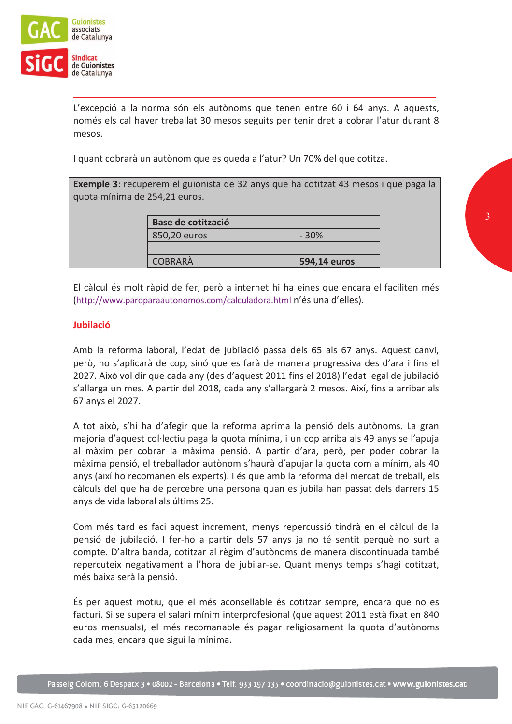

L'excepció a la norma són els autònoms que tenen entre 60 i 64 anys. A aquests, només els cal haver treballat 30 mesos seguits per tenir dret a cobrar l'atur durant 8 mesos.

I quant cobrarà un autònom que es queda a l'atur? Un 70% del que cotitza.

Exemple 3: recuperem el guionista de 32 anys que ha cotitzat 43 mesos i que paga la quota mínima de 254,21 euros.

| Base de cotització |              |
|--------------------|--------------|
| 850,20 euros       | $-30%$       |
|                    |              |
| <b>COBRARÀ</b>     | 594,14 euros |

El càlcul és molt ràpid de fer, però a internet hi ha eines que encara el faciliten més (http://www.paroparaautonomos.com/calculadora.html n'és una d'elles).

# **Jubilació**

Amb la reforma laboral, l'edat de jubilació passa dels 65 als 67 anys. Aquest canvi, però, no s'aplicarà de cop, sinó que es farà de manera progressiva des d'ara i fins el 2027. Això vol dir que cada any (des d'aquest 2011 fins el 2018) l'edat legal de jubilació s'allarga un mes. A partir del 2018, cada any s'allargarà 2 mesos. Així, fins a arribar als 67 anys el 2027.

A tot això, s'hi ha d'afegir que la reforma aprima la pensió dels autònoms. La gran maioria d'aguest col·lectiu paga la guota mínima, i un cop arriba als 49 anys se l'apuia al màxim per cobrar la màxima pensió. A partir d'ara, però, per poder cobrar la màxima pensió, el treballador autònom s'haurà d'apujar la quota com a mínim, als 40 anys (així ho recomanen els experts). I és que amb la reforma del mercat de treball, els càlculs del que ha de percebre una persona quan es jubila han passat dels darrers 15 anys de vida laboral als últims 25.

Com més tard es faci aquest increment, menys repercussió tindrà en el càlcul de la pensió de jubilació. I fer-ho a partir dels 57 anys ja no té sentit perquè no surt a compte. D'altra banda, cotitzar al règim d'autònoms de manera discontinuada també repercuteix negativament a l'hora de jubilar-se. Quant menys temps s'hagi cotitzat, més baixa serà la pensió.

És per aquest motiu, que el més aconsellable és cotitzar sempre, encara que no es facturi. Si se supera el salari mínim interprofesional (que aquest 2011 està fixat en 840 euros mensuals), el més recomanable és pagar religiosament la quota d'autònoms cada mes, encara que sigui la mínima.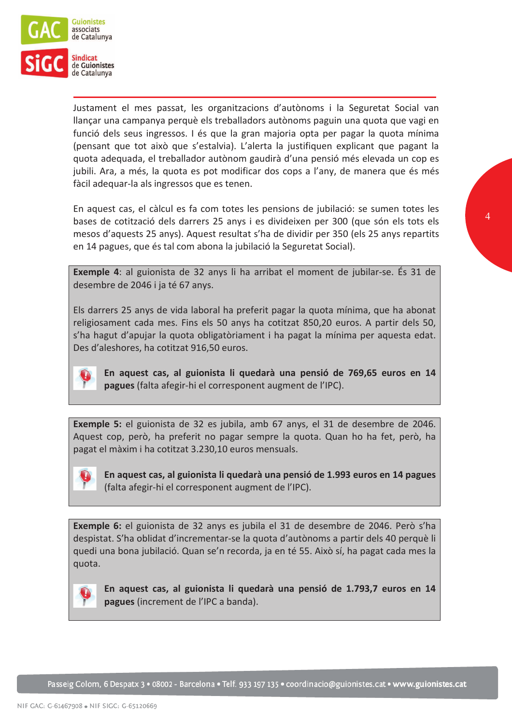

Justament el mes passat, les organitzacions d'autònoms i la Seguretat Social van llançar una campanya perquè els treballadors autònoms paguin una quota que vagi en funció dels seus ingressos. I és que la gran majoria opta per pagar la quota mínima (pensant que tot això que s'estalvia). L'alerta la justifiquen explicant que pagant la quota adequada, el treballador autònom gaudirà d'una pensió més elevada un cop es jubili. Ara, a més, la quota es pot modificar dos cops a l'any, de manera que és més fàcil adequar-la als ingressos que es tenen.

En aquest cas, el càlcul es fa com totes les pensions de jubilació: se sumen totes les bases de cotització dels darrers 25 anys i es divideixen per 300 (que són els tots els mesos d'aquests 25 anys). Aquest resultat s'ha de dividir per 350 (els 25 anys repartits en 14 pagues, que és tal com abona la jubilació la Seguretat Social).

**Exemple 4:** al guionista de 32 anys li ha arribat el moment de jubilar-se. És 31 de desembre de 2046 i ja té 67 anys.

Els darrers 25 anys de vida laboral ha preferit pagar la quota mínima, que ha abonat religiosament cada mes. Fins els 50 anys ha cotitzat 850,20 euros. A partir dels 50, s'ha hagut d'apujar la quota obligatòriament i ha pagat la mínima per aquesta edat. Des d'aleshores, ha cotitzat 916,50 euros.



En aquest cas, al guionista li quedarà una pensió de 769,65 euros en 14 pagues (falta afegir-hi el corresponent augment de l'IPC).

Exemple 5: el guionista de 32 es jubila, amb 67 anys, el 31 de desembre de 2046. Aquest cop, però, ha preferit no pagar sempre la quota. Quan ho ha fet, però, ha pagat el màxim i ha cotitzat 3.230,10 euros mensuals.



En aquest cas, al guionista li quedarà una pensió de 1.993 euros en 14 pagues (falta afegir-hi el corresponent augment de l'IPC).

Exemple 6: el guionista de 32 anys es jubila el 31 de desembre de 2046. Però s'ha despistat. S'ha oblidat d'incrementar-se la quota d'autònoms a partir dels 40 perquè li quedi una bona jubilació. Quan se'n recorda, ja en té 55. Això sí, ha pagat cada mes la quota.



En aquest cas, al guionista li quedarà una pensió de 1.793.7 euros en 14 pagues (increment de l'IPC a banda).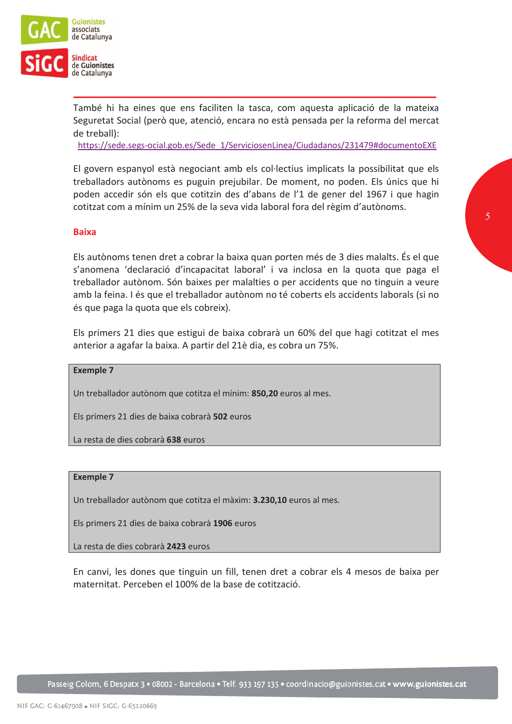

També hi ha eines que ens faciliten la tasca, com aquesta aplicació de la mateixa Seguretat Social (però que, atenció, encara no està pensada per la reforma del mercat de treball):

https://sede.segs-ocial.gob.es/Sede\_1/ServiciosenLinea/Ciudadanos/231479#documentoEXE

El govern espanyol està negociant amb els col·lectius implicats la possibilitat que els treballadors autònoms es puguin prejubilar. De moment, no poden. Els únics que hi poden accedir són els que cotitzin des d'abans de l'1 de gener del 1967 i que hagin cotitzat com a mínim un 25% de la seva vida laboral fora del règim d'autònoms.

#### **Baixa**

Els autònoms tenen dret a cobrar la baixa quan porten més de 3 dies malalts. És el que s'anomena 'declaració d'incapacitat laboral' i va inclosa en la quota que paga el treballador autònom. Són baixes per malalties o per accidents que no tinguin a veure amb la feina. I és que el treballador autònom no té coberts els accidents laborals (si no és que paga la quota que els cobreix).

Els primers 21 dies que estigui de baixa cobrarà un 60% del que hagi cotitzat el mes anterior a agafar la baixa. A partir del 21è dia, es cobra un 75%.

**Exemple 7** 

Un treballador autònom que cotitza el mínim: 850,20 euros al mes.

Els primers 21 dies de baixa cobrarà 502 euros

La resta de dies cobrarà 638 euros

#### **Exemple 7**

Un treballador autònom que cotitza el màxim: 3.230,10 euros al mes.

Els primers 21 dies de baixa cobrarà 1906 euros

La resta de dies cobrarà 2423 euros

En canvi, les dones que tinguin un fill, tenen dret a cobrar els 4 mesos de baixa per maternitat. Perceben el 100% de la base de cotització.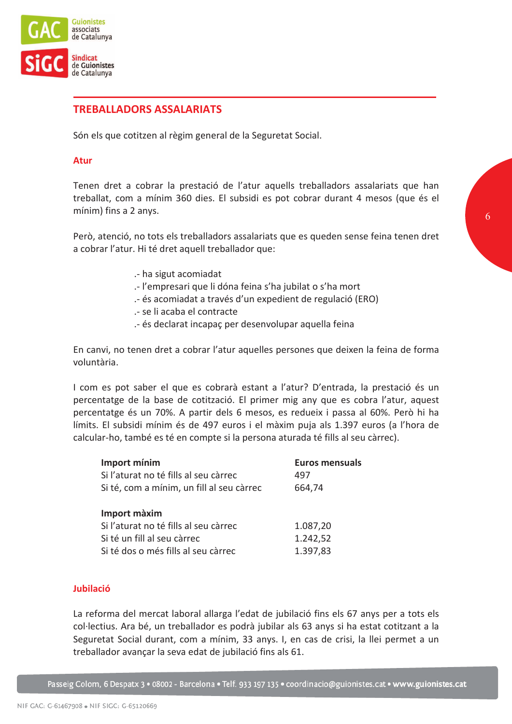

# **TREBALLADORS ASSALARIATS**

Són els que cotitzen al règim general de la Seguretat Social.

#### **Atur**

Tenen dret a cobrar la prestació de l'atur aquells treballadors assalariats que han treballat, com a mínim 360 dies. El subsidi es pot cobrar durant 4 mesos (que és el mínim) fins a 2 anys.

Però, atenció, no tots els treballadors assalariats que es queden sense feina tenen dret a cobrar l'atur. Hi té dret aquell treballador que:

- .- ha sigut acomiadat
- .- l'empresari que li dóna feina s'ha jubilat o s'ha mort
- .- és acomiadat a través d'un expedient de regulació (ERO)
- .- se li acaba el contracte
- .- és declarat incapaç per desenvolupar aquella feina

En canvi, no tenen dret a cobrar l'atur aquelles persones que deixen la feina de forma voluntària.

I com es pot saber el que es cobrarà estant a l'atur? D'entrada, la prestació és un percentatge de la base de cotització. El primer mig any que es cobra l'atur, aquest percentatge és un 70%. A partir dels 6 mesos, es redueix i passa al 60%. Però hi ha límits. El subsidi mínim és de 497 euros i el màxim puja als 1.397 euros (a l'hora de calcular-ho, també es té en compte si la persona aturada té fills al seu càrrec).

| Import mínim                              | <b>Euros mensuals</b> |
|-------------------------------------------|-----------------------|
| Si l'aturat no té fills al seu càrrec     | 497                   |
| Si té, com a mínim, un fill al seu càrrec | 664,74                |
|                                           |                       |
| Import màxim                              |                       |
| Si l'aturat no té fills al seu càrrec     | 1.087,20              |
| Si té un fill al seu càrrec               | 1.242,52              |
| Si té dos o més fills al seu càrrec       | 1.397,83              |
|                                           |                       |

#### Jubilació

La reforma del mercat laboral allarga l'edat de jubilació fins els 67 anys per a tots els col·lectius. Ara bé, un treballador es podrà jubilar als 63 anys si ha estat cotitzant a la Seguretat Social durant, com a mínim, 33 anys. I, en cas de crisi, la llei permet a un treballador avançar la seva edat de jubilació fins als 61.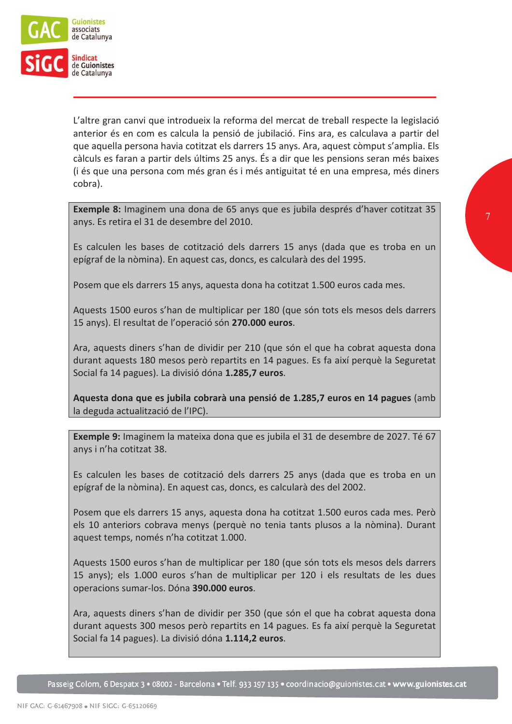

L'altre gran canvi que introdueix la reforma del mercat de treball respecte la legislació anterior és en com es calcula la pensió de jubilació. Fins ara, es calculava a partir del que aquella persona havia cotitzat els darrers 15 anys. Ara, aquest còmput s'amplia. Els càlculs es faran a partir dels últims 25 anys. És a dir que les pensions seran més baixes (i és que una persona com més gran és i més antiguitat té en una empresa, més diners cobra).

Exemple 8: Imaginem una dona de 65 anys que es jubila després d'haver cotitzat 35 anys. Es retira el 31 de desembre del 2010.

Es calculen les bases de cotització dels darrers 15 anys (dada que es troba en un epígraf de la nòmina). En aquest cas, doncs, es calcularà des del 1995.

Posem que els darrers 15 anys, aquesta dona ha cotitzat 1.500 euros cada mes.

Aquests 1500 euros s'han de multiplicar per 180 (que són tots els mesos dels darrers 15 anys). El resultat de l'operació són 270.000 euros.

Ara, aquests diners s'han de dividir per 210 (que són el que ha cobrat aquesta dona durant aquests 180 mesos però repartits en 14 pagues. Es fa així perquè la Seguretat Social fa 14 pagues). La divisió dóna 1.285,7 euros.

Aquesta dona que es jubila cobrarà una pensió de 1.285,7 euros en 14 pagues (amb la deguda actualització de l'IPC).

Exemple 9: Imaginem la mateixa dona que es jubila el 31 de desembre de 2027. Té 67 anys i n'ha cotitzat 38.

Es calculen les bases de cotització dels darrers 25 anys (dada que es troba en un epígraf de la nòmina). En aquest cas, doncs, es calcularà des del 2002.

Posem que els darrers 15 anys, aquesta dona ha cotitzat 1.500 euros cada mes. Però els 10 anteriors cobrava menys (perquè no tenia tants plusos a la nòmina). Durant aquest temps, només n'ha cotitzat 1.000.

Aquests 1500 euros s'han de multiplicar per 180 (que són tots els mesos dels darrers 15 anys); els 1.000 euros s'han de multiplicar per 120 i els resultats de les dues operacions sumar-los. Dóna 390.000 euros.

Ara, aquests diners s'han de dividir per 350 (que són el que ha cobrat aquesta dona durant aquests 300 mesos però repartits en 14 pagues. Es fa així perquè la Seguretat Social fa 14 pagues). La divisió dóna 1.114,2 euros.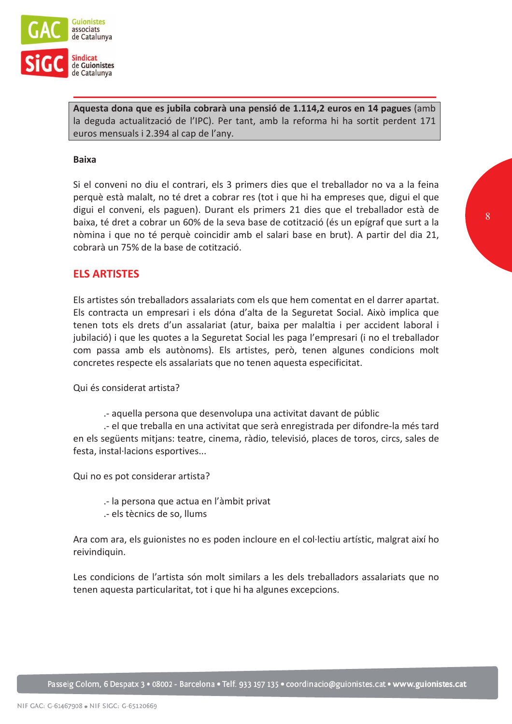

Aquesta dona que es jubila cobrarà una pensió de 1.114,2 euros en 14 pagues (amb la deguda actualització de l'IPC). Per tant, amb la reforma hi ha sortit perdent 171 euros mensuals i 2.394 al cap de l'any.

### **Baixa**

Si el conveni no diu el contrari, els 3 primers dies que el treballador no va a la feina perquè està malalt, no té dret a cobrar res (tot i que hi ha empreses que, digui el que digui el conveni, els paguen). Durant els primers 21 dies que el treballador està de baixa, té dret a cobrar un 60% de la seva base de cotització (és un epígraf que surt a la nòmina i que no té perquè coincidir amb el salari base en brut). A partir del dia 21, cobrarà un 75% de la base de cotització.

# **ELS ARTISTES**

Els artistes són treballadors assalariats com els que hem comentat en el darrer apartat. Els contracta un empresari i els dóna d'alta de la Seguretat Social. Això implica que tenen tots els drets d'un assalariat (atur, baixa per malaltia i per accident laboral i jubilació) i que les quotes a la Seguretat Social les paga l'empresari (i no el treballador com passa amb els autònoms). Els artistes, però, tenen algunes condicions molt concretes respecte els assalariats que no tenen aquesta especificitat.

Qui és considerat artista?

- aquella persona que desenvolupa una activitat davant de públic

- el que treballa en una activitat que serà enregistrada per difondre-la més tard en els següents mitjans: teatre, cinema, ràdio, televisió, places de toros, circs, sales de festa, instal·lacions esportives...

Qui no es pot considerar artista?

.- la persona que actua en l'àmbit privat

.- els tècnics de so, llums

Ara com ara, els guionistes no es poden incloure en el col·lectiu artístic, malgrat així ho reivindiquin.

Les condicions de l'artista són molt similars a les dels treballadors assalariats que no tenen aquesta particularitat, tot i que hi ha algunes excepcions.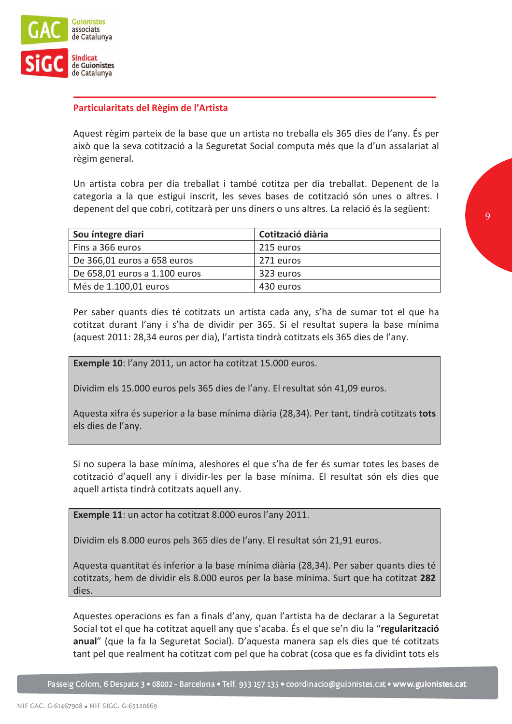

# Particularitats del Règim de l'Artista

Aquest règim parteix de la base que un artista no treballa els 365 dies de l'any. És per això que la seva cotització a la Seguretat Social computa més que la d'un assalariat al règim general.

Un artista cobra per dia treballat i també cotitza per dia treballat. Depenent de la categoria a la que estigui inscrit, les seves bases de cotització són unes o altres. I depenent del que cobri, cotitzarà per uns diners o uns altres. La relació és la següent:

| Sou íntegre diari             | Cotització diària |
|-------------------------------|-------------------|
| Fins a 366 euros              | 215 euros         |
| De 366,01 euros a 658 euros   | 271 euros         |
| De 658,01 euros a 1.100 euros | 323 euros         |
| Més de 1.100,01 euros         | 430 euros         |

Per saber quants dies té cotitzats un artista cada any, s'ha de sumar tot el que ha cotitzat durant l'any i s'ha de dividir per 365. Si el resultat supera la base mínima (aquest 2011: 28,34 euros per dia), l'artista tindrà cotitzats els 365 dies de l'any.

Exemple 10: l'any 2011, un actor ha cotitzat 15.000 euros.

Dividim els 15.000 euros pels 365 dies de l'any. El resultat són 41,09 euros.

Aquesta xifra és superior a la base mínima diària (28,34). Per tant, tindrà cotitzats tots els dies de l'any.

Si no supera la base mínima, aleshores el que s'ha de fer és sumar totes les bases de cotització d'aquell any i dividir-les per la base mínima. El resultat són els dies que aquell artista tindrà cotitzats aquell any.

Exemple 11: un actor ha cotitzat 8.000 euros l'any 2011.

Dividim els 8.000 euros pels 365 dies de l'any. El resultat són 21,91 euros.

Aquesta quantitat és inferior a la base mínima diària (28,34). Per saber quants dies té cotitzats, hem de dividir els 8.000 euros per la base mínima. Surt que ha cotitzat 282 dies.

Aquestes operacions es fan a finals d'any, quan l'artista ha de declarar a la Seguretat Social tot el que ha cotitzat aquell any que s'acaba. És el que se'n diu la "regularització anual" (que la fa la Seguretat Social). D'aquesta manera sap els dies que té cotitzats tant pel que realment ha cotitzat com pel que ha cobrat (cosa que es fa dividint tots els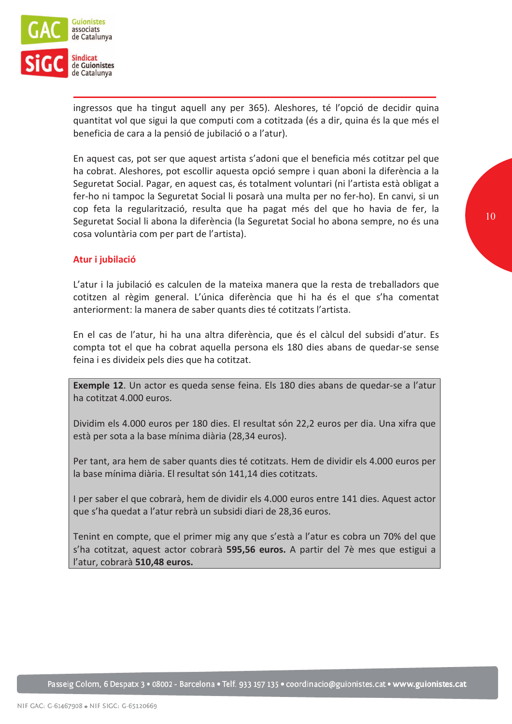

ingressos que ha tingut aquell any per 365). Aleshores, té l'opció de decidir quina quantitat vol que sigui la que computi com a cotitzada (és a dir, quina és la que més el beneficia de cara a la pensió de jubilació o a l'atur).

En aquest cas, pot ser que aquest artista s'adoni que el beneficia més cotitzar pel que ha cobrat. Aleshores, pot escollir aquesta opció sempre i quan aboni la diferència a la Seguretat Social. Pagar, en aquest cas, és totalment voluntari (ni l'artista està obligat a fer-ho ni tampoc la Seguretat Social li posarà una multa per no fer-ho). En canvi, si un cop feta la regularització, resulta que ha pagat més del que ho havia de fer, la Seguretat Social li abona la diferència (la Seguretat Social ho abona sempre, no és una cosa voluntària com per part de l'artista).

## Atur i iubilació

L'atur i la jubilació es calculen de la mateixa manera que la resta de treballadors que cotitzen al règim general. L'única diferència que hi ha és el que s'ha comentat anteriorment: la manera de saber quants dies té cotitzats l'artista.

En el cas de l'atur, hi ha una altra diferència, que és el càlcul del subsidi d'atur. Es compta tot el que ha cobrat aquella persona els 180 dies abans de quedar-se sense feina i es divideix pels dies que ha cotitzat.

Exemple 12. Un actor es queda sense feina. Els 180 dies abans de quedar-se a l'atur ha cotitzat 4.000 euros.

Dividim els 4.000 euros per 180 dies. El resultat són 22,2 euros per dia. Una xifra que està per sota a la base mínima diària (28,34 euros).

Per tant, ara hem de saber quants dies té cotitzats. Hem de dividir els 4.000 euros per la base mínima diària. El resultat són 141,14 dies cotitzats.

I per saber el que cobrarà, hem de dividir els 4.000 euros entre 141 dies. Aquest actor que s'ha quedat a l'atur rebrà un subsidi diari de 28,36 euros.

Tenint en compte, que el primer mig any que s'està a l'atur es cobra un 70% del que s'ha cotitzat, aquest actor cobrarà 595,56 euros. A partir del 7è mes que estigui a l'atur, cobrarà 510,48 euros.